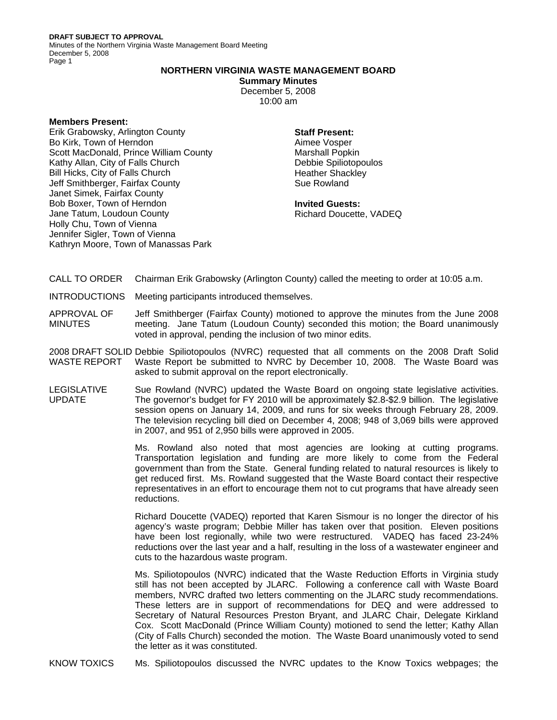**DRAFT SUBJECT TO APPROVAL**  Minutes of the Northern Virginia Waste Management Board Meeting December 5, 2008 Page 1

## **NORTHERN VIRGINIA WASTE MANAGEMENT BOARD**

**Summary Minutes** 

December 5, 2008 10:00 am

## **Members Present:**

Erik Grabowsky, Arlington County Bo Kirk, Town of Herndon Scott MacDonald, Prince William County Kathy Allan, City of Falls Church Bill Hicks, City of Falls Church Jeff Smithberger, Fairfax County Janet Simek, Fairfax County Bob Boxer, Town of Herndon Jane Tatum, Loudoun County Holly Chu, Town of Vienna Jennifer Sigler, Town of Vienna Kathryn Moore, Town of Manassas Park

## **Staff Present:**

Aimee Vosper Marshall Popkin Debbie Spiliotopoulos Heather Shackley Sue Rowland

**Invited Guests:**  Richard Doucette, VADEQ

- CALL TO ORDER Chairman Erik Grabowsky (Arlington County) called the meeting to order at 10:05 a.m.
- INTRODUCTIONS Meeting participants introduced themselves.
- APPROVAL OF **MINUTES** Jeff Smithberger (Fairfax County) motioned to approve the minutes from the June 2008 meeting. Jane Tatum (Loudoun County) seconded this motion; the Board unanimously voted in approval, pending the inclusion of two minor edits.

2008 DRAFT SOLID Debbie Spiliotopoulos (NVRC) requested that all comments on the 2008 Draft Solid WASTE REPORT Waste Report be submitted to NVRC by December 10, 2008. The Waste Board was asked to submit approval on the report electronically.

LEGISLATIVE UPDATE Sue Rowland (NVRC) updated the Waste Board on ongoing state legislative activities. The governor's budget for FY 2010 will be approximately \$2.8-\$2.9 billion. The legislative session opens on January 14, 2009, and runs for six weeks through February 28, 2009. The television recycling bill died on December 4, 2008; 948 of 3,069 bills were approved in 2007, and 951 of 2,950 bills were approved in 2005.

> Ms. Rowland also noted that most agencies are looking at cutting programs. Transportation legislation and funding are more likely to come from the Federal government than from the State. General funding related to natural resources is likely to get reduced first. Ms. Rowland suggested that the Waste Board contact their respective representatives in an effort to encourage them not to cut programs that have already seen reductions.

> Richard Doucette (VADEQ) reported that Karen Sismour is no longer the director of his agency's waste program; Debbie Miller has taken over that position. Eleven positions have been lost regionally, while two were restructured. VADEQ has faced 23-24% reductions over the last year and a half, resulting in the loss of a wastewater engineer and cuts to the hazardous waste program.

> Ms. Spiliotopoulos (NVRC) indicated that the Waste Reduction Efforts in Virginia study still has not been accepted by JLARC. Following a conference call with Waste Board members, NVRC drafted two letters commenting on the JLARC study recommendations. These letters are in support of recommendations for DEQ and were addressed to Secretary of Natural Resources Preston Bryant, and JLARC Chair, Delegate Kirkland Cox. Scott MacDonald (Prince William County) motioned to send the letter; Kathy Allan (City of Falls Church) seconded the motion. The Waste Board unanimously voted to send the letter as it was constituted.

KNOW TOXICS Ms. Spiliotopoulos discussed the NVRC updates to the Know Toxics webpages; the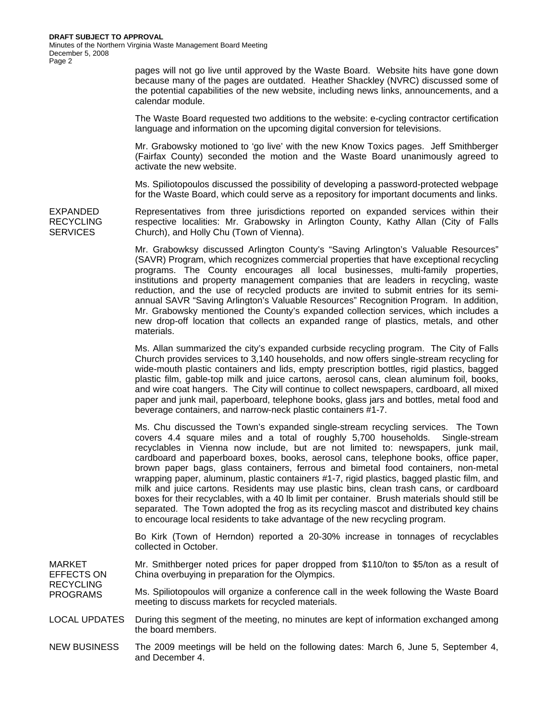pages will not go live until approved by the Waste Board. Website hits have gone down because many of the pages are outdated. Heather Shackley (NVRC) discussed some of the potential capabilities of the new website, including news links, announcements, and a calendar module.

The Waste Board requested two additions to the website: e-cycling contractor certification language and information on the upcoming digital conversion for televisions.

Mr. Grabowsky motioned to 'go live' with the new Know Toxics pages. Jeff Smithberger (Fairfax County) seconded the motion and the Waste Board unanimously agreed to activate the new website.

Ms. Spiliotopoulos discussed the possibility of developing a password-protected webpage for the Waste Board, which could serve as a repository for important documents and links.

Representatives from three jurisdictions reported on expanded services within their respective localities: Mr. Grabowsky in Arlington County, Kathy Allan (City of Falls Church), and Holly Chu (Town of Vienna).

> Mr. Grabowksy discussed Arlington County's "Saving Arlington's Valuable Resources" (SAVR) Program, which recognizes commercial properties that have exceptional recycling programs. The County encourages all local businesses, multi-family properties, institutions and property management companies that are leaders in recycling, waste reduction, and the use of recycled products are invited to submit entries for its semiannual SAVR "Saving Arlington's Valuable Resources" Recognition Program. In addition, Mr. Grabowsky mentioned the County's expanded collection services, which includes a new drop-off location that collects an expanded range of plastics, metals, and other materials.

> Ms. Allan summarized the city's expanded curbside recycling program. The City of Falls Church provides services to 3,140 households, and now offers single-stream recycling for wide-mouth plastic containers and lids, empty prescription bottles, rigid plastics, bagged plastic film, gable-top milk and juice cartons, aerosol cans, clean aluminum foil, books, and wire coat hangers. The City will continue to collect newspapers, cardboard, all mixed paper and junk mail, paperboard, telephone books, glass jars and bottles, metal food and beverage containers, and narrow-neck plastic containers #1-7.

> Ms. Chu discussed the Town's expanded single-stream recycling services. The Town covers 4.4 square miles and a total of roughly 5,700 households. Single-stream recyclables in Vienna now include, but are not limited to: newspapers, junk mail, cardboard and paperboard boxes, books, aerosol cans, telephone books, office paper, brown paper bags, glass containers, ferrous and bimetal food containers, non-metal wrapping paper, aluminum, plastic containers #1-7, rigid plastics, bagged plastic film, and milk and juice cartons. Residents may use plastic bins, clean trash cans, or cardboard boxes for their recyclables, with a 40 lb limit per container. Brush materials should still be separated. The Town adopted the frog as its recycling mascot and distributed key chains to encourage local residents to take advantage of the new recycling program.

> Bo Kirk (Town of Herndon) reported a 20-30% increase in tonnages of recyclables collected in October.

MARKET EFFECTS ON Mr. Smithberger noted prices for paper dropped from \$110/ton to \$5/ton as a result of China overbuying in preparation for the Olympics.

RECYCLING PROGRAMS Ms. Spiliotopoulos will organize a conference call in the week following the Waste Board meeting to discuss markets for recycled materials.

- LOCAL UPDATES During this segment of the meeting, no minutes are kept of information exchanged among the board members.
- NEW BUSINESS The 2009 meetings will be held on the following dates: March 6, June 5, September 4, and December 4.

EXPANDED RECYCLING **SERVICES**